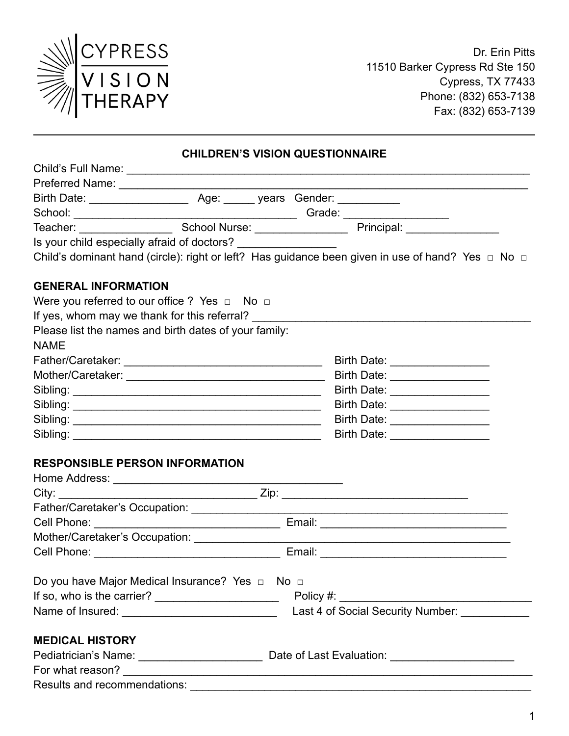

Dr. Erin Pitts 11510 Barker Cypress Rd Ste 150 Cypress, TX 77433 Phone: (832) 653-7138 Fax: (832) 653-7139

#### **CHILDREN'S VISION QUESTIONNAIRE**

|                                                                 | Gender:                                                                                                     |  |
|-----------------------------------------------------------------|-------------------------------------------------------------------------------------------------------------|--|
|                                                                 | Grade: ________________                                                                                     |  |
|                                                                 | Principal: <u>____________</u>                                                                              |  |
| Is your child especially afraid of doctors? ___________________ |                                                                                                             |  |
|                                                                 | Child's dominant hand (circle): right or left? Has guidance been given in use of hand? Yes $\Box$ No $\Box$ |  |
|                                                                 |                                                                                                             |  |
| <b>GENERAL INFORMATION</b>                                      |                                                                                                             |  |
| Were you referred to our office ? Yes $\Box$ No $\Box$          |                                                                                                             |  |
|                                                                 | If yes, whom may we thank for this referral?                                                                |  |
| Please list the names and birth dates of your family:           |                                                                                                             |  |
| <b>NAME</b>                                                     |                                                                                                             |  |
|                                                                 | Birth Date: <u>____________________</u>                                                                     |  |
|                                                                 | Birth Date: <b>Example 20</b>                                                                               |  |
| Sibling:                                                        | Birth Date:                                                                                                 |  |

| Sibling: | <b>Birth Date:</b> |
|----------|--------------------|
| Sibling: | <b>Birth Date:</b> |
| Sibling: | <b>Birth Date:</b> |

## **RESPONSIBLE PERSON INFORMATION**

| Do you have Major Medical Insurance? Yes $\Box$ No $\Box$<br>Name of Insured: _______________________________                                                                                                                                           | Last 4 of Social Security Number: |
|---------------------------------------------------------------------------------------------------------------------------------------------------------------------------------------------------------------------------------------------------------|-----------------------------------|
| <b>MEDICAL HISTORY</b><br>For what reason? The contract of the contract of the contract of the contract of the contract of the contract of the contract of the contract of the contract of the contract of the contract of the contract of the contract |                                   |
| Results and recommendations:                                                                                                                                                                                                                            |                                   |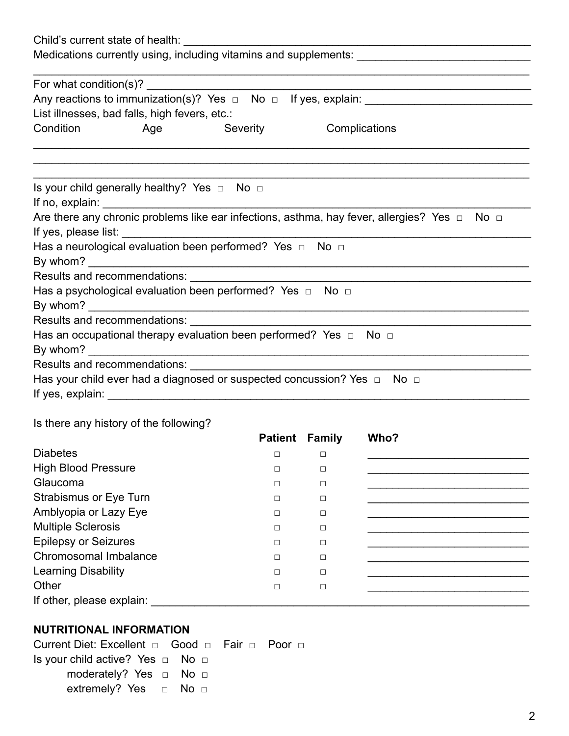| Medications currently using, including vitamins and supplements: __________________________________ |  |          |                                                                                                        |  |  |
|-----------------------------------------------------------------------------------------------------|--|----------|--------------------------------------------------------------------------------------------------------|--|--|
|                                                                                                     |  |          |                                                                                                        |  |  |
|                                                                                                     |  |          |                                                                                                        |  |  |
| Condition Age                                                                                       |  | Severity | Complications                                                                                          |  |  |
|                                                                                                     |  |          |                                                                                                        |  |  |
| Is your child generally healthy? Yes $\Box$ No $\Box$                                               |  |          |                                                                                                        |  |  |
|                                                                                                     |  |          |                                                                                                        |  |  |
|                                                                                                     |  |          | Are there any chronic problems like ear infections, asthma, hay fever, allergies? Yes $\Box$ No $\Box$ |  |  |
|                                                                                                     |  |          |                                                                                                        |  |  |
| Has a neurological evaluation been performed? Yes $\Box$ No $\Box$                                  |  |          |                                                                                                        |  |  |
|                                                                                                     |  |          |                                                                                                        |  |  |
|                                                                                                     |  |          |                                                                                                        |  |  |
| Has a psychological evaluation been performed? Yes $\Box$ No $\Box$                                 |  |          |                                                                                                        |  |  |
|                                                                                                     |  |          |                                                                                                        |  |  |
|                                                                                                     |  |          |                                                                                                        |  |  |
| Has an occupational therapy evaluation been performed? Yes $\Box$ No $\Box$                         |  |          |                                                                                                        |  |  |
|                                                                                                     |  |          |                                                                                                        |  |  |
|                                                                                                     |  |          |                                                                                                        |  |  |
|                                                                                                     |  |          | Has your child ever had a diagnosed or suspected concussion? Yes $\Box$ No $\Box$                      |  |  |
|                                                                                                     |  |          |                                                                                                        |  |  |

### Is there any history of the following?

|                               | <b>Patient Family</b> |        | Who? |
|-------------------------------|-----------------------|--------|------|
| <b>Diabetes</b>               | П                     | □      |      |
| <b>High Blood Pressure</b>    | П                     | П      |      |
| Glaucoma                      | П                     | П      |      |
| <b>Strabismus or Eye Turn</b> | П                     | П      |      |
| Amblyopia or Lazy Eye         | П                     | □      |      |
| <b>Multiple Sclerosis</b>     | П                     | □      |      |
| <b>Epilepsy or Seizures</b>   | П                     | П      |      |
| Chromosomal Imbalance         | П                     | П      |      |
| <b>Learning Disability</b>    | П                     | П      |      |
| Other                         | Г                     | $\Box$ |      |
| If other, please explain:     |                       |        |      |

### **NUTRITIONAL INFORMATION**

Current Diet: Excellent **□** Good **□** Fair **□** Poor **□** Is your child active? Yes **□** No **□** moderately? Yes **□** No **□** extremely? Yes **□** No **□**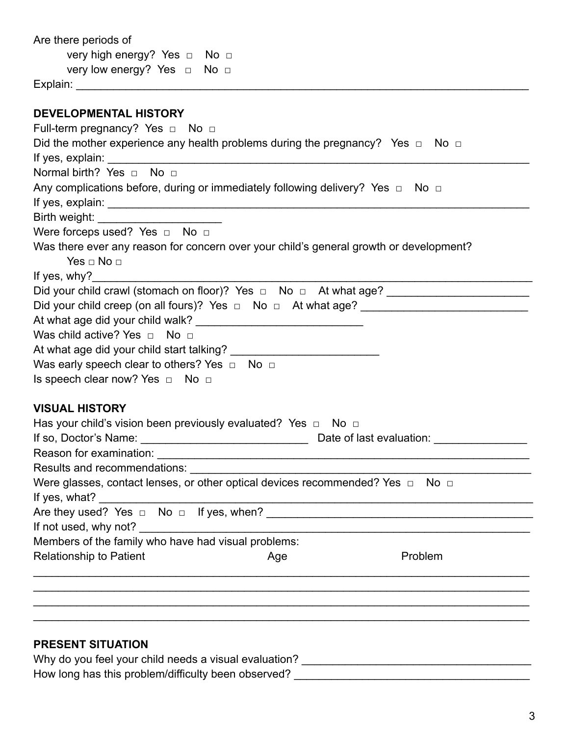| Are there periods of                                                                                                                                      |
|-----------------------------------------------------------------------------------------------------------------------------------------------------------|
| very high energy? Yes □ No □                                                                                                                              |
| very low energy? Yes □ No □                                                                                                                               |
|                                                                                                                                                           |
|                                                                                                                                                           |
| <b>DEVELOPMENTAL HISTORY</b>                                                                                                                              |
| Full-term pregnancy? Yes $\Box$ No $\Box$                                                                                                                 |
| Did the mother experience any health problems during the pregnancy? Yes $\Box$ No $\Box$                                                                  |
|                                                                                                                                                           |
| Normal birth? Yes no no                                                                                                                                   |
| Any complications before, during or immediately following delivery? Yes $\Box$ No $\Box$                                                                  |
|                                                                                                                                                           |
| Birth weight: Electronic State of the State of the State of the State of the State of the State of the State o<br>Were forceps used? Yes $\Box$ No $\Box$ |
| Was there ever any reason for concern over your child's general growth or development?                                                                    |
| Yes $\sqcap$ No $\sqcap$                                                                                                                                  |
| If yes, $why$ ?                                                                                                                                           |
| Did your child crawl (stomach on floor)? Yes □ No □ At what age? ______________________                                                                   |
|                                                                                                                                                           |
|                                                                                                                                                           |
| Was child active? Yes $\Box$ No $\Box$                                                                                                                    |
|                                                                                                                                                           |
| Was early speech clear to others? Yes $\Box$ No $\Box$                                                                                                    |
| Is speech clear now? Yes □ No □                                                                                                                           |
|                                                                                                                                                           |
| <b>VISUAL HISTORY</b>                                                                                                                                     |
| Has your child's vision been previously evaluated? Yes $\Box$ No $\Box$                                                                                   |
| If so, Doctor's Name:<br>Date of last evaluation:                                                                                                         |
|                                                                                                                                                           |
|                                                                                                                                                           |
| Were glasses, contact lenses, or other optical devices recommended? Yes $\Box$ No $\Box$                                                                  |
| If yes, what?                                                                                                                                             |
|                                                                                                                                                           |
| If not used, why not?                                                                                                                                     |
| Members of the family who have had visual problems:                                                                                                       |
| <b>Relationship to Patient</b><br>Problem<br>Age                                                                                                          |
|                                                                                                                                                           |
|                                                                                                                                                           |
|                                                                                                                                                           |
|                                                                                                                                                           |
|                                                                                                                                                           |
| <b>PRESENT SITUATION</b>                                                                                                                                  |
| Why do you feel your child needs a visual evaluation?                                                                                                     |
| How long has this problem/difficulty been observed?                                                                                                       |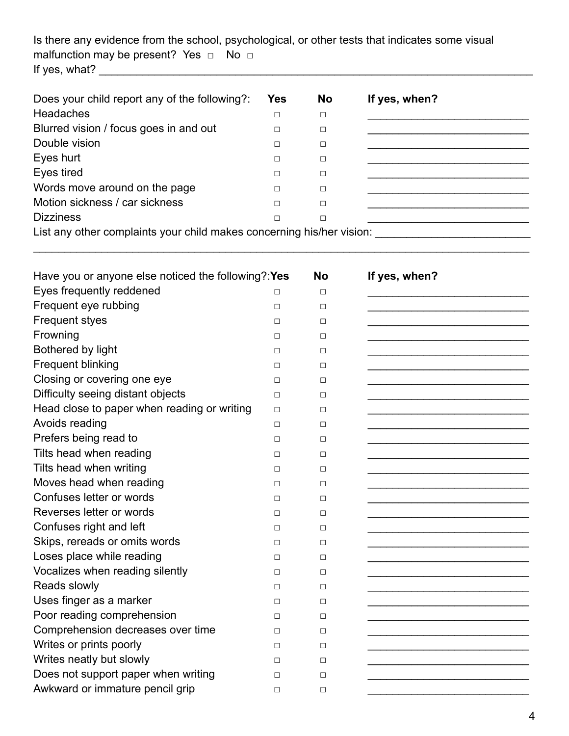Is there any evidence from the school, psychological, or other tests that indicates some visual malfunction may be present? Yes **□** No **□** If yes, what? \_\_\_\_\_\_\_\_\_\_\_\_\_\_\_\_\_\_\_\_\_\_\_\_\_\_\_\_\_\_\_\_\_\_\_\_\_\_\_\_\_\_\_\_\_\_\_\_\_\_\_\_\_\_\_\_\_\_\_\_\_\_\_\_\_\_\_\_\_\_

| Does your child report any of the following?:                         | <b>Yes</b> | <b>No</b> | If yes, when? |  |  |
|-----------------------------------------------------------------------|------------|-----------|---------------|--|--|
| <b>Headaches</b>                                                      | $\Box$     | □         |               |  |  |
| Blurred vision / focus goes in and out                                | П          | □         |               |  |  |
| Double vision                                                         | П          | □         |               |  |  |
| Eyes hurt                                                             | □          | □         |               |  |  |
| Eyes tired                                                            | □          | □         |               |  |  |
| Words move around on the page                                         | П          | □         |               |  |  |
| Motion sickness / car sickness                                        | □          | □         |               |  |  |
| <b>Dizziness</b>                                                      | □          | □         |               |  |  |
| List any other complaints your child makes concerning his/her vision: |            |           |               |  |  |

\_\_\_\_\_\_\_\_\_\_\_\_\_\_\_\_\_\_\_\_\_\_\_\_\_\_\_\_\_\_\_\_\_\_\_\_\_\_\_\_\_\_\_\_\_\_\_\_\_\_\_\_\_\_\_\_\_\_\_\_\_\_\_\_\_\_\_\_\_\_\_\_\_\_\_\_\_\_\_\_

| Have you or anyone else noticed the following?: Yes |        | <b>No</b> | If yes, when? |
|-----------------------------------------------------|--------|-----------|---------------|
| Eyes frequently reddened                            | $\Box$ | $\Box$    |               |
| Frequent eye rubbing                                | $\Box$ | $\Box$    |               |
| <b>Frequent styes</b>                               | П      | П         |               |
| Frowning                                            | $\Box$ | П         |               |
| Bothered by light                                   | $\Box$ | $\Box$    |               |
| <b>Frequent blinking</b>                            | $\Box$ | $\Box$    |               |
| Closing or covering one eye                         | П      | $\Box$    |               |
| Difficulty seeing distant objects                   | $\Box$ | $\Box$    |               |
| Head close to paper when reading or writing         | $\Box$ | $\Box$    |               |
| Avoids reading                                      | $\Box$ | П         |               |
| Prefers being read to                               | $\Box$ | П         |               |
| Tilts head when reading                             | $\Box$ | П         |               |
| Tilts head when writing                             | $\Box$ | $\Box$    |               |
| Moves head when reading                             | П      | $\Box$    |               |
| Confuses letter or words                            | $\Box$ | $\Box$    |               |
| Reverses letter or words                            | $\Box$ | $\Box$    |               |
| Confuses right and left                             | П      | П         |               |
| Skips, rereads or omits words                       | $\Box$ | П         |               |
| Loses place while reading                           | $\Box$ | $\Box$    |               |
| Vocalizes when reading silently                     | $\Box$ | $\Box$    |               |
| Reads slowly                                        | $\Box$ | $\Box$    |               |
| Uses finger as a marker                             | $\Box$ | $\Box$    |               |
| Poor reading comprehension                          | $\Box$ | $\Box$    |               |
| Comprehension decreases over time                   | П      | П         |               |
| Writes or prints poorly                             | $\Box$ | $\Box$    |               |
| Writes neatly but slowly                            | $\Box$ | $\Box$    |               |
| Does not support paper when writing                 | $\Box$ | $\Box$    |               |
| Awkward or immature pencil grip                     | $\Box$ | $\Box$    |               |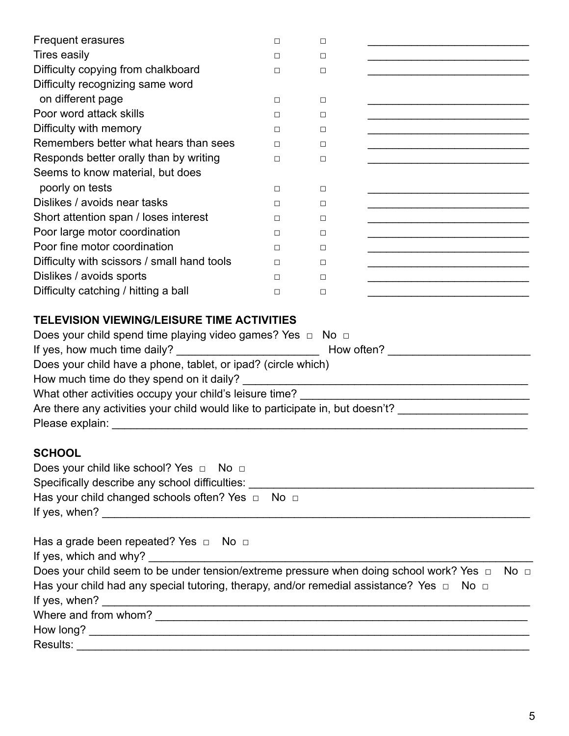| <b>Frequent erasures</b>                                                                                                                                                                                                                                                                                                                                                                                                                | □      | $\Box$ |                                                                                                                        |
|-----------------------------------------------------------------------------------------------------------------------------------------------------------------------------------------------------------------------------------------------------------------------------------------------------------------------------------------------------------------------------------------------------------------------------------------|--------|--------|------------------------------------------------------------------------------------------------------------------------|
| <b>Tires easily</b>                                                                                                                                                                                                                                                                                                                                                                                                                     | ◻      | $\Box$ |                                                                                                                        |
| Difficulty copying from chalkboard                                                                                                                                                                                                                                                                                                                                                                                                      | $\Box$ | $\Box$ |                                                                                                                        |
| Difficulty recognizing same word                                                                                                                                                                                                                                                                                                                                                                                                        |        |        |                                                                                                                        |
| on different page                                                                                                                                                                                                                                                                                                                                                                                                                       | ◻      | $\Box$ |                                                                                                                        |
| Poor word attack skills                                                                                                                                                                                                                                                                                                                                                                                                                 | ◻      | $\Box$ |                                                                                                                        |
| Difficulty with memory                                                                                                                                                                                                                                                                                                                                                                                                                  | П      | $\Box$ |                                                                                                                        |
| Remembers better what hears than sees                                                                                                                                                                                                                                                                                                                                                                                                   | ◻      | $\Box$ |                                                                                                                        |
| Responds better orally than by writing                                                                                                                                                                                                                                                                                                                                                                                                  | □      | □      |                                                                                                                        |
| Seems to know material, but does                                                                                                                                                                                                                                                                                                                                                                                                        |        |        |                                                                                                                        |
| poorly on tests                                                                                                                                                                                                                                                                                                                                                                                                                         | П      | $\Box$ |                                                                                                                        |
| Dislikes / avoids near tasks                                                                                                                                                                                                                                                                                                                                                                                                            | ◻      | $\Box$ |                                                                                                                        |
| Short attention span / loses interest                                                                                                                                                                                                                                                                                                                                                                                                   | ◻      | $\Box$ | <u> 1989 - Johann John Stone, mars eta bainar eta baina eta hiri eta baina eta baina eta baina eta baina eta bain</u>  |
| Poor large motor coordination                                                                                                                                                                                                                                                                                                                                                                                                           | ◻      | $\Box$ |                                                                                                                        |
| Poor fine motor coordination                                                                                                                                                                                                                                                                                                                                                                                                            | П      | $\Box$ |                                                                                                                        |
| Difficulty with scissors / small hand tools                                                                                                                                                                                                                                                                                                                                                                                             | п      | □      | <u> 1989 - Johann John Harry Harry Harry Harry Harry Harry Harry Harry Harry Harry Harry Harry Harry Harry Harry H</u> |
| Dislikes / avoids sports                                                                                                                                                                                                                                                                                                                                                                                                                | П      | П      |                                                                                                                        |
| Difficulty catching / hitting a ball                                                                                                                                                                                                                                                                                                                                                                                                    | П      | $\Box$ |                                                                                                                        |
| Does your child spend time playing video games? Yes $\Box$ No $\Box$<br>If yes, how much time daily?<br>How often?<br>Does your child have a phone, tablet, or ipad? (circle which)<br>Are there any activities your child would like to participate in, but doesn't? _____________________<br>Please explain:<br><u> 1980 - Johann John Stein, marwolaeth a bhaile an t-Alban Stein an t-Alban Stein ann an t-Alban Stein an t-Alb</u> |        |        |                                                                                                                        |
| <b>SCHOOL</b><br>Does your child like school? Yes $\Box$ No $\Box$<br>Has your child changed schools often? Yes □ No □                                                                                                                                                                                                                                                                                                                  |        |        |                                                                                                                        |
| Has a grade been repeated? Yes $\Box$ No $\Box$<br>If yes, which and why?<br><u> 1989 - Johann Barbara, martxa alemaniar a</u><br>Does your child seem to be under tension/extreme pressure when doing school work? Yes □<br>No <sub>1</sub><br>Has your child had any special tutoring, therapy, and/or remedial assistance? Yes $\Box$ No $\Box$<br>If yes, when? $\overline{\phantom{a}}$                                            |        |        |                                                                                                                        |
|                                                                                                                                                                                                                                                                                                                                                                                                                                         |        |        |                                                                                                                        |
|                                                                                                                                                                                                                                                                                                                                                                                                                                         |        |        |                                                                                                                        |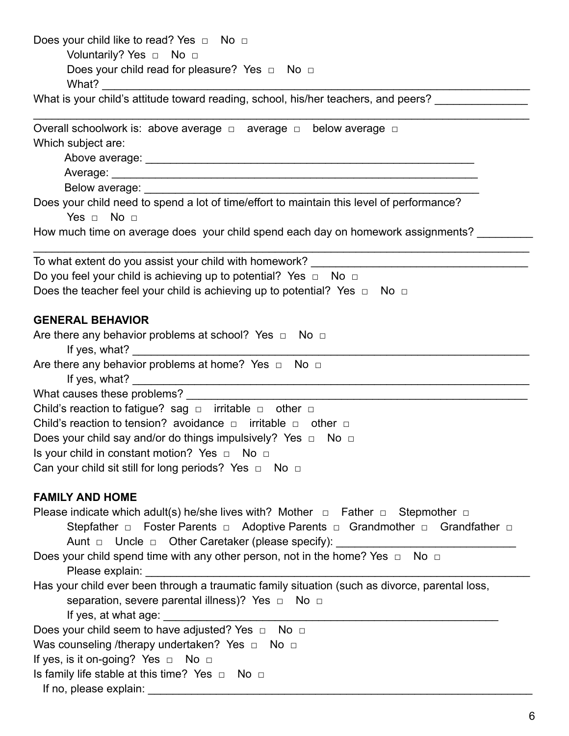| Does your child like to read? Yes □ No □<br>Voluntarily? Yes □ No □                                                                                                                                                                  |
|--------------------------------------------------------------------------------------------------------------------------------------------------------------------------------------------------------------------------------------|
| Does your child read for pleasure? Yes $\Box$ No $\Box$                                                                                                                                                                              |
| What is your child's attitude toward reading, school, his/her teachers, and peers?                                                                                                                                                   |
| Overall schoolwork is: above average $\Box$ average $\Box$ below average $\Box$                                                                                                                                                      |
| Which subject are:                                                                                                                                                                                                                   |
|                                                                                                                                                                                                                                      |
|                                                                                                                                                                                                                                      |
|                                                                                                                                                                                                                                      |
| Does your child need to spend a lot of time/effort to maintain this level of performance?                                                                                                                                            |
| Yes $\Box$ No $\Box$                                                                                                                                                                                                                 |
| How much time on average does your child spend each day on homework assignments?                                                                                                                                                     |
| To what extent do you assist your child with homework? __________________________                                                                                                                                                    |
| Do you feel your child is achieving up to potential? Yes $\Box$ No $\Box$                                                                                                                                                            |
| Does the teacher feel your child is achieving up to potential? Yes $\Box$ No $\Box$                                                                                                                                                  |
| <b>GENERAL BEHAVIOR</b>                                                                                                                                                                                                              |
| Are there any behavior problems at school? Yes $\Box$ No $\Box$                                                                                                                                                                      |
| If yes, what?                                                                                                                                                                                                                        |
| Are there any behavior problems at home? Yes $\Box$ No $\Box$                                                                                                                                                                        |
| What causes these problems?                                                                                                                                                                                                          |
| Child's reaction to fatigue? sag $\Box$ irritable $\Box$ other $\Box$                                                                                                                                                                |
| Child's reaction to tension? avoidance $\Box$ irritable $\Box$ other $\Box$                                                                                                                                                          |
| Does your child say and/or do things impulsively? Yes $\Box$ No $\Box$                                                                                                                                                               |
| Is your child in constant motion? Yes $\Box$ No $\Box$                                                                                                                                                                               |
| Can your child sit still for long periods? Yes $\Box$ No $\Box$                                                                                                                                                                      |
| <b>FAMILY AND HOME</b>                                                                                                                                                                                                               |
| Please indicate which adult(s) he/she lives with? Mother $\Box$ Father $\Box$ Stepmother $\Box$                                                                                                                                      |
| Stepfather $\Box$ Foster Parents $\Box$ Adoptive Parents $\Box$ Grandmother $\Box$ Grandfather $\Box$                                                                                                                                |
| Aunt □ Uncle □ Other Caretaker (please specify): ______________________________                                                                                                                                                      |
| Does your child spend time with any other person, not in the home? Yes $\Box$<br>No <sub>1</sub>                                                                                                                                     |
| Please explain:                                                                                                                                                                                                                      |
| Has your child ever been through a traumatic family situation (such as divorce, parental loss,                                                                                                                                       |
| separation, severe parental illness)? Yes □ No □<br>If yes, at what age: _________                                                                                                                                                   |
| Does your child seem to have adjusted? Yes $\Box$ No $\Box$                                                                                                                                                                          |
| Was counseling /therapy undertaken? Yes $\Box$ No $\Box$                                                                                                                                                                             |
| If yes, is it on-going? Yes □ No □                                                                                                                                                                                                   |
| Is family life stable at this time? Yes $\Box$ No $\Box$                                                                                                                                                                             |
| If no, please explain: <b>container the set of the set of the set of the set of the set of the set of the set of the set of the set of the set of the set of the set of the set of the set of the set of the set of the set of t</b> |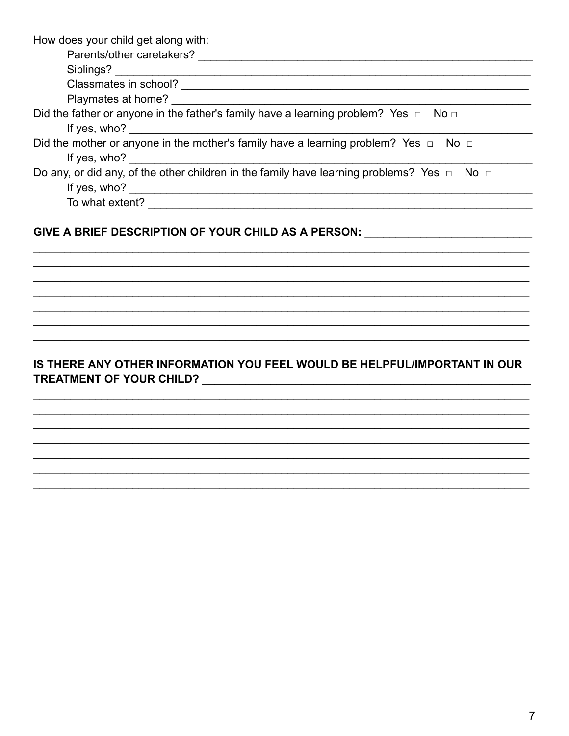How does your child get along with:

| Parents/other caretakers?                                                                            |
|------------------------------------------------------------------------------------------------------|
| Siblings?                                                                                            |
| Classmates in school?                                                                                |
| Playmates at home?                                                                                   |
| Did the father or anyone in the father's family have a learning problem? Yes $\Box$ No $\Box$        |
| If yes, $who?$                                                                                       |
| Did the mother or anyone in the mother's family have a learning problem? Yes $\Box$ No $\Box$        |
| If yes, who?                                                                                         |
| Do any, or did any, of the other children in the family have learning problems? Yes $\Box$ No $\Box$ |
| If yes, who?                                                                                         |
| To what extent?                                                                                      |
|                                                                                                      |

#### GIVE A BRIEF DESCRIPTION OF YOUR CHILD AS A PERSON: \_\_\_\_\_\_\_\_\_\_\_\_\_\_\_\_\_\_\_\_\_\_\_\_\_\_\_\_

# IS THERE ANY OTHER INFORMATION YOU FEEL WOULD BE HELPFUL/IMPORTANT IN OUR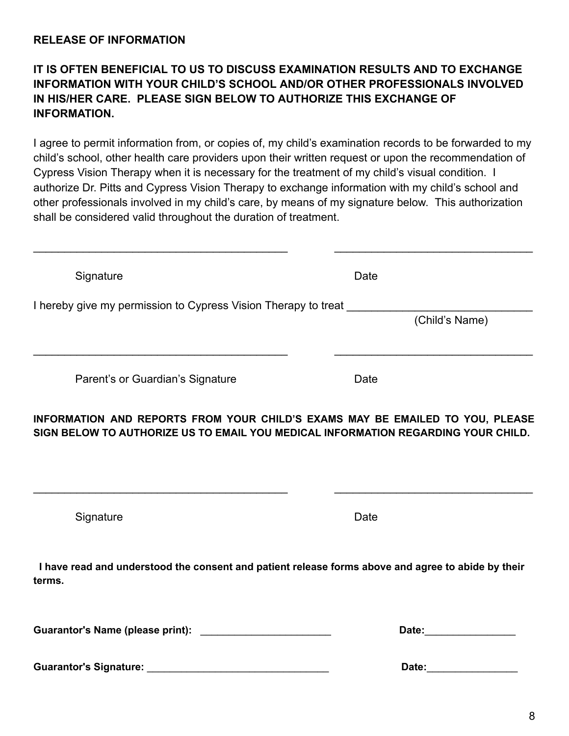### **IT IS OFTEN BENEFICIAL TO US TO DISCUSS EXAMINATION RESULTS AND TO EXCHANGE INFORMATION WITH YOUR CHILD'S SCHOOL AND/OR OTHER PROFESSIONALS INVOLVED IN HIS/HER CARE. PLEASE SIGN BELOW TO AUTHORIZE THIS EXCHANGE OF INFORMATION.**

I agree to permit information from, or copies of, my child's examination records to be forwarded to my child's school, other health care providers upon their written request or upon the recommendation of Cypress Vision Therapy when it is necessary for the treatment of my child's visual condition. I authorize Dr. Pitts and Cypress Vision Therapy to exchange information with my child's school and other professionals involved in my child's care, by means of my signature below. This authorization shall be considered valid throughout the duration of treatment.

| Signature                                                                                                                                                          | Date                                                                                                                                                                                                                           |
|--------------------------------------------------------------------------------------------------------------------------------------------------------------------|--------------------------------------------------------------------------------------------------------------------------------------------------------------------------------------------------------------------------------|
| I hereby give my permission to Cypress Vision Therapy to treat                                                                                                     |                                                                                                                                                                                                                                |
|                                                                                                                                                                    | (Child's Name)                                                                                                                                                                                                                 |
| Parent's or Guardian's Signature                                                                                                                                   | Date                                                                                                                                                                                                                           |
| INFORMATION AND REPORTS FROM YOUR CHILD'S EXAMS MAY BE EMAILED TO YOU, PLEASE<br>SIGN BELOW TO AUTHORIZE US TO EMAIL YOU MEDICAL INFORMATION REGARDING YOUR CHILD. |                                                                                                                                                                                                                                |
|                                                                                                                                                                    |                                                                                                                                                                                                                                |
| Signature                                                                                                                                                          | Date                                                                                                                                                                                                                           |
| I have read and understood the consent and patient release forms above and agree to abide by their<br>terms.                                                       |                                                                                                                                                                                                                                |
|                                                                                                                                                                    | Date: the contract of the contract of the contract of the contract of the contract of the contract of the contract of the contract of the contract of the contract of the contract of the contract of the contract of the cont |
| <b>Guarantor's Signature:</b>                                                                                                                                      | Date:                                                                                                                                                                                                                          |